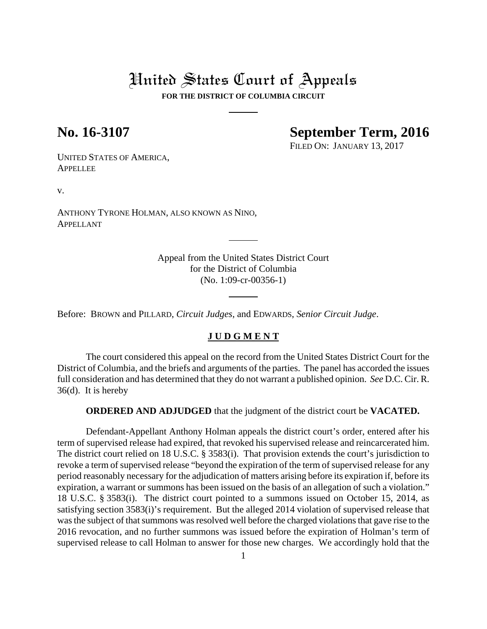# United States Court of Appeals

**FOR THE DISTRICT OF COLUMBIA CIRCUIT**

## **No. 16-3107 September Term, 2016**

FILED ON: JANUARY 13, 2017

UNITED STATES OF AMERICA, **APPELLEE** 

v.

ANTHONY TYRONE HOLMAN, ALSO KNOWN AS NINO, APPELLANT

> Appeal from the United States District Court for the District of Columbia (No. 1:09-cr-00356-1)

Before: BROWN and PILLARD, *Circuit Judges*, and EDWARDS, *Senior Circuit Judge*.

## **J U D G M E N T**

The court considered this appeal on the record from the United States District Court for the District of Columbia, and the briefs and arguments of the parties. The panel has accorded the issues full consideration and has determined that they do not warrant a published opinion. *See* D.C. Cir. R. 36(d). It is hereby

**ORDERED AND ADJUDGED** that the judgment of the district court be **VACATED.** 

Defendant-Appellant Anthony Holman appeals the district court's order, entered after his term of supervised release had expired, that revoked his supervised release and reincarcerated him. The district court relied on 18 U.S.C. § 3583(i). That provision extends the court's jurisdiction to revoke a term of supervised release "beyond the expiration of the term of supervised release for any period reasonably necessary for the adjudication of matters arising before its expiration if, before its expiration, a warrant or summons has been issued on the basis of an allegation of such a violation." 18 U.S.C. § 3583(i). The district court pointed to a summons issued on October 15, 2014, as satisfying section 3583(i)'s requirement. But the alleged 2014 violation of supervised release that was the subject of that summons was resolved well before the charged violations that gave rise to the 2016 revocation, and no further summons was issued before the expiration of Holman's term of supervised release to call Holman to answer for those new charges. We accordingly hold that the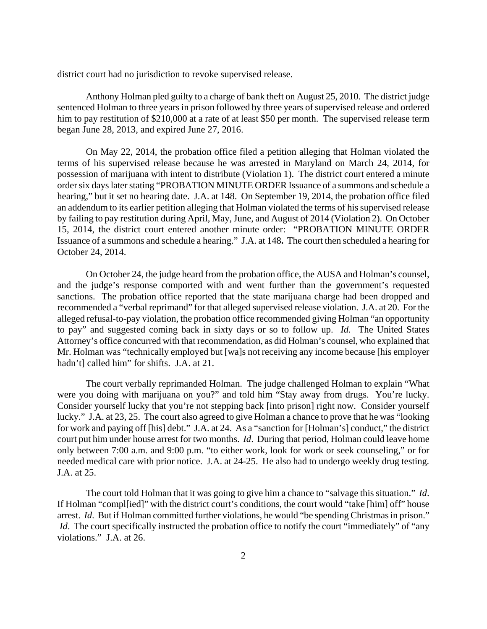district court had no jurisdiction to revoke supervised release.

Anthony Holman pled guilty to a charge of bank theft on August 25, 2010. The district judge sentenced Holman to three years in prison followed by three years of supervised release and ordered him to pay restitution of \$210,000 at a rate of at least \$50 per month. The supervised release term began June 28, 2013, and expired June 27, 2016.

On May 22, 2014, the probation office filed a petition alleging that Holman violated the terms of his supervised release because he was arrested in Maryland on March 24, 2014, for possession of marijuana with intent to distribute (Violation 1). The district court entered a minute order six days later stating "PROBATION MINUTE ORDER Issuance of a summons and schedule a hearing," but it set no hearing date. J.A. at 148. On September 19, 2014, the probation office filed an addendum to its earlier petition alleging that Holman violated the terms of his supervised release by failing to pay restitution during April, May, June, and August of 2014 (Violation 2). On October 15, 2014, the district court entered another minute order: "PROBATION MINUTE ORDER Issuance of a summons and schedule a hearing." J.A. at 148**.** The court then scheduled a hearing for October 24, 2014.

On October 24, the judge heard from the probation office, the AUSA and Holman's counsel, and the judge's response comported with and went further than the government's requested sanctions. The probation office reported that the state marijuana charge had been dropped and recommended a "verbal reprimand" for that alleged supervised release violation. J.A. at 20. For the alleged refusal-to-pay violation, the probation office recommended giving Holman "an opportunity to pay" and suggested coming back in sixty days or so to follow up. *Id.* The United States Attorney's office concurred with that recommendation, as did Holman's counsel, who explained that Mr. Holman was "technically employed but [wa]s not receiving any income because [his employer hadn't] called him" for shifts. J.A. at 21.

The court verbally reprimanded Holman. The judge challenged Holman to explain "What were you doing with marijuana on you?" and told him "Stay away from drugs. You're lucky. Consider yourself lucky that you're not stepping back [into prison] right now. Consider yourself lucky." J.A. at 23, 25.The court also agreed to give Holman a chance to prove that he was "looking for work and paying off [his] debt." J.A. at 24. As a "sanction for [Holman's] conduct," the district court put him under house arrest for two months. *Id*. During that period, Holman could leave home only between 7:00 a.m. and 9:00 p.m. "to either work, look for work or seek counseling," or for needed medical care with prior notice. J.A. at 24-25. He also had to undergo weekly drug testing*.* J.A. at 25.

The court told Holman that it was going to give him a chance to "salvage this situation." *Id*. If Holman "compl[ied]" with the district court's conditions, the court would "take [him] off" house arrest. *Id*. But if Holman committed further violations, he would "be spending Christmas in prison." *Id*. The court specifically instructed the probation office to notify the court "immediately" of "any violations." J.A. at 26.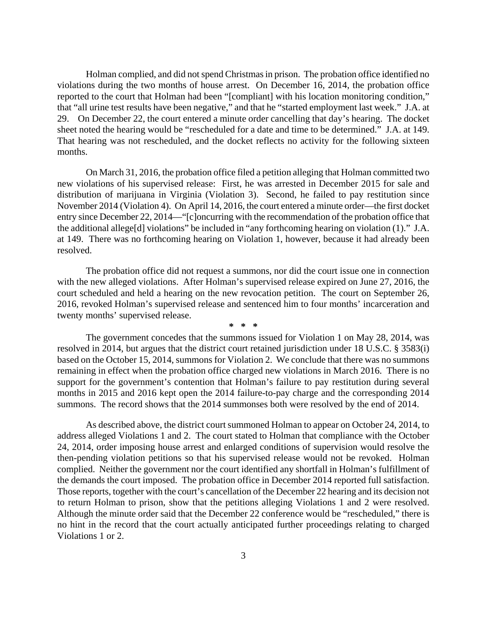Holman complied, and did not spend Christmas in prison. The probation office identified no violations during the two months of house arrest. On December 16, 2014, the probation office reported to the court that Holman had been "[compliant] with his location monitoring condition," that "all urine test results have been negative," and that he "started employment last week." J.A. at 29. On December 22, the court entered a minute order cancelling that day's hearing. The docket sheet noted the hearing would be "rescheduled for a date and time to be determined." J.A. at 149. That hearing was not rescheduled, and the docket reflects no activity for the following sixteen months.

On March 31, 2016, the probation office filed a petition alleging that Holman committed two new violations of his supervised release: First, he was arrested in December 2015 for sale and distribution of marijuana in Virginia (Violation 3). Second, he failed to pay restitution since November 2014 (Violation 4). On April 14, 2016, the court entered a minute order—the first docket entry since December 22, 2014—"[c]oncurring with the recommendation of the probation office that the additional allege[d] violations" be included in "any forthcoming hearing on violation (1)." J.A. at 149. There was no forthcoming hearing on Violation 1, however, because it had already been resolved.

The probation office did not request a summons, nor did the court issue one in connection with the new alleged violations. After Holman's supervised release expired on June 27, 2016, the court scheduled and held a hearing on the new revocation petition. The court on September 26, 2016, revoked Holman's supervised release and sentenced him to four months' incarceration and twenty months' supervised release.

**\* \* \*** 

The government concedes that the summons issued for Violation 1 on May 28, 2014, was resolved in 2014, but argues that the district court retained jurisdiction under 18 U.S.C. § 3583(i) based on the October 15, 2014, summons for Violation 2. We conclude that there was no summons remaining in effect when the probation office charged new violations in March 2016. There is no support for the government's contention that Holman's failure to pay restitution during several months in 2015 and 2016 kept open the 2014 failure-to-pay charge and the corresponding 2014 summons. The record shows that the 2014 summonses both were resolved by the end of 2014.

As described above, the district court summoned Holman to appear on October 24, 2014, to address alleged Violations 1 and 2. The court stated to Holman that compliance with the October 24, 2014, order imposing house arrest and enlarged conditions of supervision would resolve the then-pending violation petitions so that his supervised release would not be revoked. Holman complied. Neither the government nor the court identified any shortfall in Holman's fulfillment of the demands the court imposed. The probation office in December 2014 reported full satisfaction. Those reports, together with the court's cancellation of the December 22 hearing and its decision not to return Holman to prison, show that the petitions alleging Violations 1 and 2 were resolved. Although the minute order said that the December 22 conference would be "rescheduled," there is no hint in the record that the court actually anticipated further proceedings relating to charged Violations 1 or 2.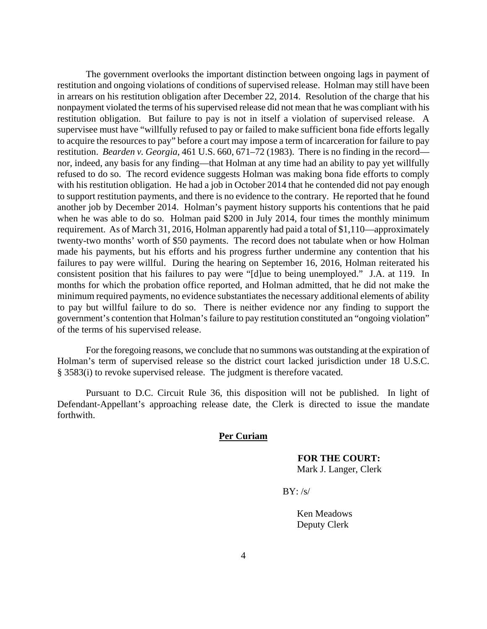The government overlooks the important distinction between ongoing lags in payment of restitution and ongoing violations of conditions of supervised release. Holman may still have been in arrears on his restitution obligation after December 22, 2014. Resolution of the charge that his nonpayment violated the terms of his supervised release did not mean that he was compliant with his restitution obligation. But failure to pay is not in itself a violation of supervised release. A supervisee must have "willfully refused to pay or failed to make sufficient bona fide efforts legally to acquire the resources to pay" before a court may impose a term of incarceration for failure to pay restitution. *Bearden v. Georgia*, 461 U.S. 660, 671–72 (1983). There is no finding in the record nor, indeed, any basis for any finding—that Holman at any time had an ability to pay yet willfully refused to do so. The record evidence suggests Holman was making bona fide efforts to comply with his restitution obligation. He had a job in October 2014 that he contended did not pay enough to support restitution payments, and there is no evidence to the contrary. He reported that he found another job by December 2014. Holman's payment history supports his contentions that he paid when he was able to do so. Holman paid \$200 in July 2014, four times the monthly minimum requirement. As of March 31, 2016, Holman apparently had paid a total of \$1,110—approximately twenty-two months' worth of \$50 payments.The record does not tabulate when or how Holman made his payments, but his efforts and his progress further undermine any contention that his failures to pay were willful. During the hearing on September 16, 2016, Holman reiterated his consistent position that his failures to pay were "[d]ue to being unemployed." J.A. at 119. In months for which the probation office reported, and Holman admitted, that he did not make the minimum required payments, no evidence substantiates the necessary additional elements of ability to pay but willful failure to do so. There is neither evidence nor any finding to support the government's contention that Holman's failure to pay restitution constituted an "ongoing violation" of the terms of his supervised release.

For the foregoing reasons, we conclude that no summons was outstanding at the expiration of Holman's term of supervised release so the district court lacked jurisdiction under 18 U.S.C. § 3583(i) to revoke supervised release. The judgment is therefore vacated.

Pursuant to D.C. Circuit Rule 36, this disposition will not be published. In light of Defendant-Appellant's approaching release date, the Clerk is directed to issue the mandate forthwith.

### **Per Curiam**

 **FOR THE COURT:**  Mark J. Langer, Clerk

 $BY:$  /s/

Ken Meadows Deputy Clerk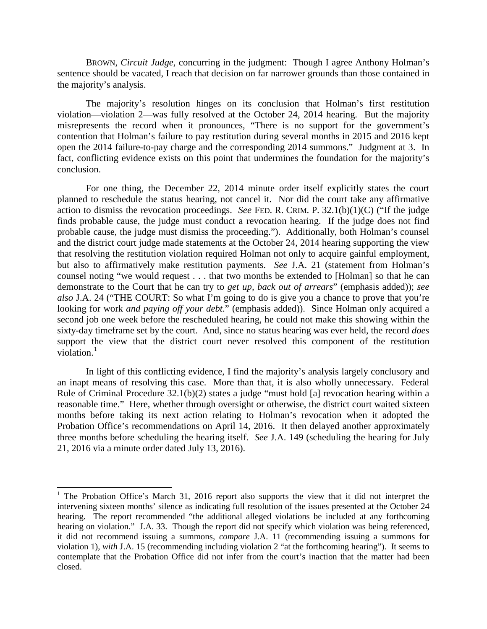BROWN, *Circuit Judge*, concurring in the judgment: Though I agree Anthony Holman's sentence should be vacated, I reach that decision on far narrower grounds than those contained in the majority's analysis.

The majority's resolution hinges on its conclusion that Holman's first restitution violation—violation 2—was fully resolved at the October 24, 2014 hearing. But the majority misrepresents the record when it pronounces, "There is no support for the government's contention that Holman's failure to pay restitution during several months in 2015 and 2016 kept open the 2014 failure-to-pay charge and the corresponding 2014 summons." Judgment at 3. In fact, conflicting evidence exists on this point that undermines the foundation for the majority's conclusion.

For one thing, the December 22, 2014 minute order itself explicitly states the court planned to reschedule the status hearing, not cancel it. Nor did the court take any affirmative action to dismiss the revocation proceedings. *See* FED. R. CRIM. P. 32.1(b)(1)(C) ("If the judge finds probable cause, the judge must conduct a revocation hearing. If the judge does not find probable cause, the judge must dismiss the proceeding."). Additionally, both Holman's counsel and the district court judge made statements at the October 24, 2014 hearing supporting the view that resolving the restitution violation required Holman not only to acquire gainful employment, but also to affirmatively make restitution payments. *See* J.A. 21 (statement from Holman's counsel noting "we would request . . . that two months be extended to [Holman] so that he can demonstrate to the Court that he can try to *get up, back out of arrears*" (emphasis added)); *see also* J.A. 24 ("THE COURT: So what I'm going to do is give you a chance to prove that you're looking for work *and paying off your debt*." (emphasis added)). Since Holman only acquired a second job one week before the rescheduled hearing, he could not make this showing within the sixty-day timeframe set by the court. And, since no status hearing was ever held, the record *does*  support the view that the district court never resolved this component of the restitution violation.<sup>[1](#page-4-0)</sup>

In light of this conflicting evidence, I find the majority's analysis largely conclusory and an inapt means of resolving this case. More than that, it is also wholly unnecessary. Federal Rule of Criminal Procedure 32.1(b)(2) states a judge "must hold [a] revocation hearing within a reasonable time." Here, whether through oversight or otherwise, the district court waited sixteen months before taking its next action relating to Holman's revocation when it adopted the Probation Office's recommendations on April 14, 2016. It then delayed another approximately three months before scheduling the hearing itself. *See* J.A. 149 (scheduling the hearing for July 21, 2016 via a minute order dated July 13, 2016).

<span id="page-4-0"></span><sup>&</sup>lt;sup>1</sup> The Probation Office's March 31, 2016 report also supports the view that it did not interpret the intervening sixteen months' silence as indicating full resolution of the issues presented at the October 24 hearing. The report recommended "the additional alleged violations be included at any forthcoming hearing on violation." J.A. 33. Though the report did not specify which violation was being referenced, it did not recommend issuing a summons, *compare* J.A. 11 (recommending issuing a summons for violation 1), *with* J.A. 15 (recommending including violation 2 "at the forthcoming hearing"). It seems to contemplate that the Probation Office did not infer from the court's inaction that the matter had been closed.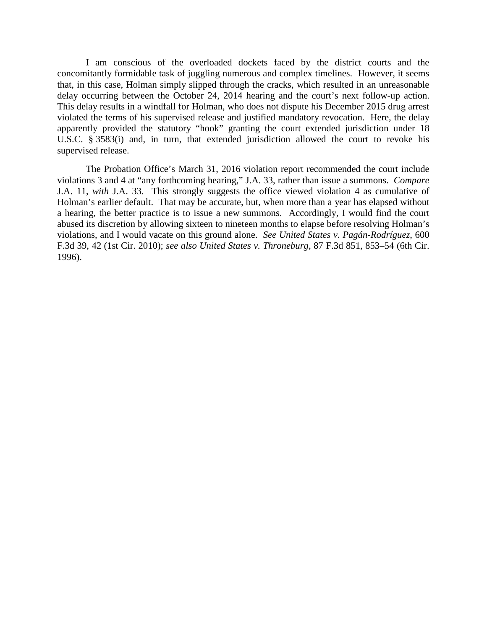I am conscious of the overloaded dockets faced by the district courts and the concomitantly formidable task of juggling numerous and complex timelines. However, it seems that, in this case, Holman simply slipped through the cracks, which resulted in an unreasonable delay occurring between the October 24, 2014 hearing and the court's next follow-up action. This delay results in a windfall for Holman, who does not dispute his December 2015 drug arrest violated the terms of his supervised release and justified mandatory revocation. Here, the delay apparently provided the statutory "hook" granting the court extended jurisdiction under 18 U.S.C. § 3583(i) and, in turn, that extended jurisdiction allowed the court to revoke his supervised release.

The Probation Office's March 31, 2016 violation report recommended the court include violations 3 and 4 at "any forthcoming hearing," J.A. 33, rather than issue a summons. *Compare* J.A. 11, *with* J.A. 33. This strongly suggests the office viewed violation 4 as cumulative of Holman's earlier default. That may be accurate, but, when more than a year has elapsed without a hearing, the better practice is to issue a new summons. Accordingly, I would find the court abused its discretion by allowing sixteen to nineteen months to elapse before resolving Holman's violations, and I would vacate on this ground alone. *See United States v. Pagán-Rodríguez*, 600 F.3d 39, 42 (1st Cir. 2010); *see also United States v. Throneburg*, 87 F.3d 851, 853–54 (6th Cir. 1996).